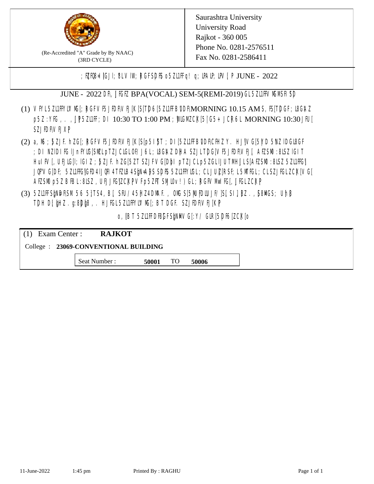

(Re-Accredited "A" Grade by By NAAC) (3RD CYCLE)

Saurashtra University University Road Rajkot - 360 005 Phone No. 0281-2576511 Fax No. 0281-2586411

;  $E[R\mathcal{B} = \text{[GJI]}$ ;  $8LV\mathcal{I}W$ ;  $RGFSD\mathcal{B}$  o  $5Z\mathcal{I}IFq!$  q;  $\mathcal{I}R\mathcal{I}P$ ,  $\mathcal{I}W$ ;  $P$  JUNE - 2022

JUNE - 2022 DR, JIGIZ BPA(VOCAL) SEM-5(REMI-2019) GL 5ZLIFIVM MSH SD

- (1) VFYL5Z11FFYLVMC[; RGFVF5JEDF\VEJ[K[S[T]D6[5Z11FFB\DDF\MORNING 10.15 AM S, IS[T]DGF; I&G\AZ p5Z : YKG, . , UP5ZL1FF; DI 10:30 TO 1:00 PM ; WCGM CK[5| G5+ JCR6L MORNING 10:30 JFU[ **SZJENVEJXP**
- (2) a, M ; BZJE hZG[; RGFVE5JIDF\VEJ[K[S[p5I]\$T ; DI[5ZI1IFB\DDF\CHIZ Y. HJ]\VG[5|YD 5\VZ lDGI8GF ; DI NZIDI K; IJnFYIG[SMLpTZJCIGLOF/J6L; ISGAZ DHA SZJLTDG[VF5JEDF\VEJ[, AEZSM0 :8LSZ IGIT] HuIFV[, UEJG[]; IGIZ ; 5ZJF. hZG[5ZT SZJFVG[DbI pTZJCLp5ZGLIJUTMHJLS[AEZSM0 :8LSZ 5Z11HG] JQFVG[DF; 5Z11HG]GED4 LJQHI4 TEZIB4 SEN= APS SDES 5Z11 HYNGL; CL JUL [RSF; L 5MTGL; CL SZJFGL ZCK[ VG[ AESM p5Z BBL:8LSZ, UEJJG|ZCKPVFp5ZFT SMIOv!) GL; RGFVM EG[, JJGLZCKP
- (3) 5ZUFFS&NDF\SM.56 5}TS4, B[, SFU/45HZ4D\MAF., OMS[5|NU|PDIUJF/]S[ SI], [8Z.,[S8]ACS; Uh[8 TDH D[ $jHZ$ .g:8D $jg$ ,. HJ $KL$ 5ZL1FFYLVMS[;BT DGF. SZJEDFIVEJ[KP]

o, JBT 5Z11FDBGFSPNMG[:Y/ GIR[5DF6]ZCK[0

| $(1)$ Exam Center :                   | <b>RAJKOT</b> |       |    |       |  |  |
|---------------------------------------|---------------|-------|----|-------|--|--|
| College : 23069-CONVENTIONAL BUILDING |               |       |    |       |  |  |
|                                       | Seat Number : | 50001 | TO | 50006 |  |  |